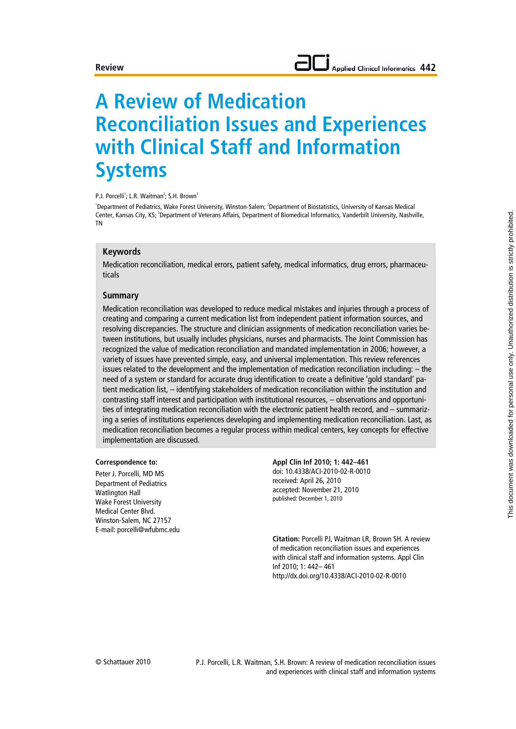# **A Review of Medication Reconciliation Issues and Experiences with Clinical Staff and Information Systems**

P.J. Porcelli<sup>1</sup>; L.R. Waitman<sup>2</sup>; S.H. Brown<sup>3</sup>

<sup>1</sup>Department of Pediatrics, Wake Forest University, Winston-Salem; <sup>2</sup>Department of Biostatistics, University of Kansas Medical Center, Kansas City, KS; <sup>3</sup>Department of Veterans Affairs, Department of Biomedical Informatics, Vanderbilt University, Nashville, TN

#### **Keywords**

Medication reconciliation, medical errors, patient safety, medical informatics, drug errors, pharmaceuticals

#### **Summary**

Medication reconciliation was developed to reduce medical mistakes and injuries through a process of creating and comparing a current medication list from independent patient information sources, and resolving discrepancies. The structure and clinician assignments of medication reconciliation varies between institutions, but usually includes physicians, nurses and pharmacists. The Joint Commission has recognized the value of medication reconciliation and mandated implementation in 2006; however, a variety of issues have prevented simple, easy, and universal implementation. This review references issues related to the development and the implementation of medication reconciliation including: – the need of a system or standard for accurate drug identification to create a definitive 'gold standard' patient medication list, – identifying stakeholders of medication reconciliation within the institution and contrasting staff interest and participation with institutional resources, – observations and opportunities of integrating medication reconciliation with the electronic patient health record, and – summarizing a series of institutions experiences developing and implementing medication reconciliation. Last, as medication reconciliation becomes a regular process within medical centers, key concepts for effective implementation are discussed.

#### **Correspondence to:**

Peter J. Porcelli, MD MS Department of Pediatrics Watlington Hall Wake Forest University Medical Center Blvd. Winston-Salem, NC 27157 E-mail: porcelli@wfubmc.edu

#### **Appl Clin Inf 2010; 1: 442–461** doi: 10.4338/ACI-2010-02-R-0010 received: April 26, 2010 accepted: November 21, 2010 published: December 1, 2010

**Citation:** Porcelli PJ, Waitman LR, Brown SH. A review of medication reconciliation issues and experiences with clinical staff and information systems. Appl Clin Inf 2010; 1: 442– 461 http://dx.doi.org/10.4338/ACI-2010-02-R-0010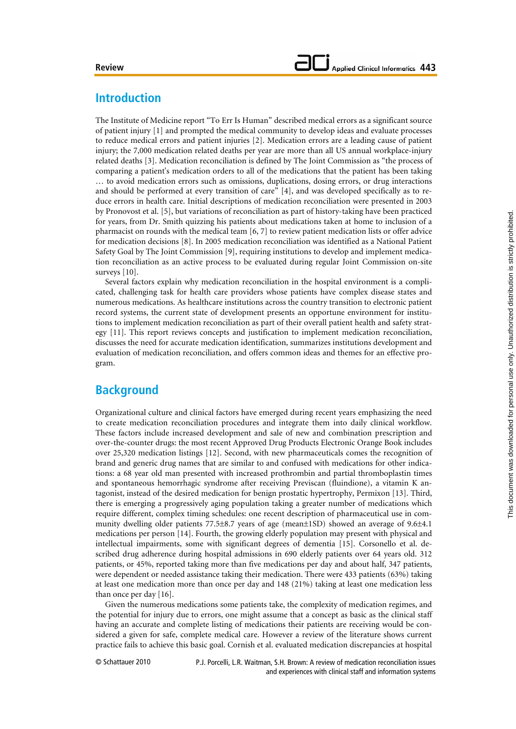### **Introduction**

The Institute of Medicine report "To Err Is Human" described medical errors as a significant source of patient injury [1] and prompted the medical community to develop ideas and evaluate processes to reduce medical errors and patient injuries [2]. Medication errors are a leading cause of patient injury; the 7,000 medication related deaths per year are more than all US annual workplace-injury related deaths [3]. Medication reconciliation is defined by The Joint Commission as "the process of comparing a patient's medication orders to all of the medications that the patient has been taking … to avoid medication errors such as omissions, duplications, dosing errors, or drug interactions and should be performed at every transition of care" [4], and was developed specifically as to reduce errors in health care. Initial descriptions of medication reconciliation were presented in 2003 by Pronovost et al. [5], but variations of reconciliation as part of history-taking have been practiced for years, from Dr. Smith quizzing his patients about medications taken at home to inclusion of a pharmacist on rounds with the medical team [6, 7] to review patient medication lists or offer advice for medication decisions [8]. In 2005 medication reconciliation was identified as a National Patient Safety Goal by The Joint Commission [9], requiring institutions to develop and implement medication reconciliation as an active process to be evaluated during regular Joint Commission on-site surveys [10].

Several factors explain why medication reconciliation in the hospital environment is a complicated, challenging task for health care providers whose patients have complex disease states and numerous medications. As healthcare institutions across the country transition to electronic patient record systems, the current state of development presents an opportune environment for institutions to implement medication reconciliation as part of their overall patient health and safety strategy [11]. This report reviews concepts and justification to implement medication reconciliation, discusses the need for accurate medication identification, summarizes institutions development and evaluation of medication reconciliation, and offers common ideas and themes for an effective program.

### **Background**

Organizational culture and clinical factors have emerged during recent years emphasizing the need to create medication reconciliation procedures and integrate them into daily clinical workflow. These factors include increased development and sale of new and combination prescription and over-the-counter drugs: the most recent Approved Drug Products Electronic Orange Book includes over 25,320 medication listings [12]. Second, with new pharmaceuticals comes the recognition of brand and generic drug names that are similar to and confused with medications for other indications: a 68 year old man presented with increased prothrombin and partial thromboplastin times and spontaneous hemorrhagic syndrome after receiving Previscan (fluindione), a vitamin K antagonist, instead of the desired medication for benign prostatic hypertrophy, Permixon [13]. Third, there is emerging a progressively aging population taking a greater number of medications which require different, complex timing schedules: one recent description of pharmaceutical use in community dwelling older patients 77.5±8.7 years of age (mean±1SD) showed an average of 9.6±4.1 medications per person [14]. Fourth, the growing elderly population may present with physical and intellectual impairments, some with significant degrees of dementia [15]. Corsonello et al. described drug adherence during hospital admissions in 690 elderly patients over 64 years old. 312 patients, or 45%, reported taking more than five medications per day and about half, 347 patients, were dependent or needed assistance taking their medication. There were 433 patients (63%) taking at least one medication more than once per day and 148 (21%) taking at least one medication less than once per day [16].

Given the numerous medications some patients take, the complexity of medication regimes, and the potential for injury due to errors, one might assume that a concept as basic as the clinical staff having an accurate and complete listing of medications their patients are receiving would be considered a given for safe, complete medical care. However a review of the literature shows current practice fails to achieve this basic goal. Cornish et al. evaluated medication discrepancies at hospital

© Schattauer 2010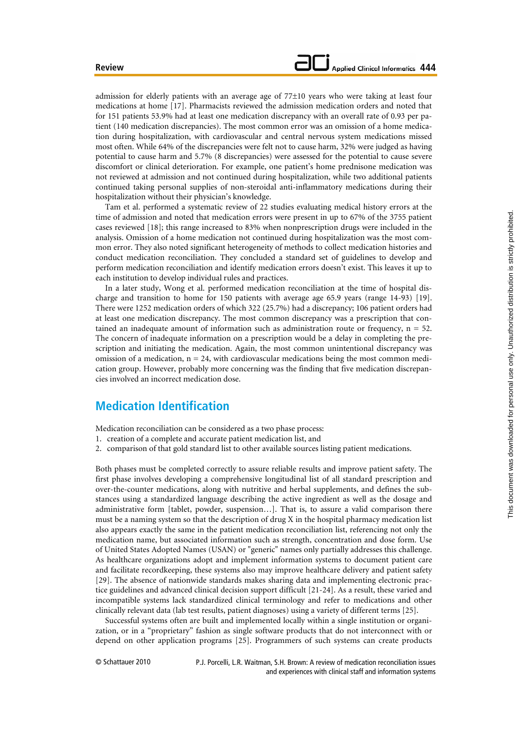admission for elderly patients with an average age of 77±10 years who were taking at least four medications at home [17]. Pharmacists reviewed the admission medication orders and noted that for 151 patients 53.9% had at least one medication discrepancy with an overall rate of 0.93 per patient (140 medication discrepancies). The most common error was an omission of a home medication during hospitalization, with cardiovascular and central nervous system medications missed most often. While 64% of the discrepancies were felt not to cause harm, 32% were judged as having potential to cause harm and 5.7% (8 discrepancies) were assessed for the potential to cause severe discomfort or clinical deterioration. For example, one patient's home prednisone medication was not reviewed at admission and not continued during hospitalization, while two additional patients continued taking personal supplies of non-steroidal anti-inflammatory medications during their hospitalization without their physician's knowledge.

Tam et al. performed a systematic review of 22 studies evaluating medical history errors at the time of admission and noted that medication errors were present in up to 67% of the 3755 patient cases reviewed [18]; this range increased to 83% when nonprescription drugs were included in the analysis. Omission of a home medication not continued during hospitalization was the most common error. They also noted significant heterogeneity of methods to collect medication histories and conduct medication reconciliation. They concluded a standard set of guidelines to develop and perform medication reconciliation and identify medication errors doesn't exist. This leaves it up to each institution to develop individual rules and practices.

In a later study, Wong et al. performed medication reconciliation at the time of hospital discharge and transition to home for 150 patients with average age 65.9 years (range 14-93) [19]. There were 1252 medication orders of which 322 (25.7%) had a discrepancy; 106 patient orders had at least one medication discrepancy. The most common discrepancy was a prescription that contained an inadequate amount of information such as administration route or frequency,  $n = 52$ . The concern of inadequate information on a prescription would be a delay in completing the prescription and initiating the medication. Again, the most common unintentional discrepancy was omission of a medication,  $n = 24$ , with cardiovascular medications being the most common medication group. However, probably more concerning was the finding that five medication discrepancies involved an incorrect medication dose.

### **Medication Identification**

Medication reconciliation can be considered as a two phase process:

- 1. creation of a complete and accurate patient medication list, and
- 2. comparison of that gold standard list to other available sources listing patient medications.

Both phases must be completed correctly to assure reliable results and improve patient safety. The first phase involves developing a comprehensive longitudinal list of all standard prescription and over-the-counter medications, along with nutritive and herbal supplements, and defines the substances using a standardized language describing the active ingredient as well as the dosage and administrative form [tablet, powder, suspension…]. That is, to assure a valid comparison there must be a naming system so that the description of drug X in the hospital pharmacy medication list also appears exactly the same in the patient medication reconciliation list, referencing not only the medication name, but associated information such as strength, concentration and dose form. Use of United States Adopted Names (USAN) or "generic" names only partially addresses this challenge. As healthcare organizations adopt and implement information systems to document patient care and facilitate recordkeeping, these systems also may improve healthcare delivery and patient safety [29]. The absence of nationwide standards makes sharing data and implementing electronic practice guidelines and advanced clinical decision support difficult [21-24]. As a result, these varied and incompatible systems lack standardized clinical terminology and refer to medications and other clinically relevant data (lab test results, patient diagnoses) using a variety of different terms [25].

Successful systems often are built and implemented locally within a single institution or organization, or in a "proprietary" fashion as single software products that do not interconnect with or depend on other application programs [25]. Programmers of such systems can create products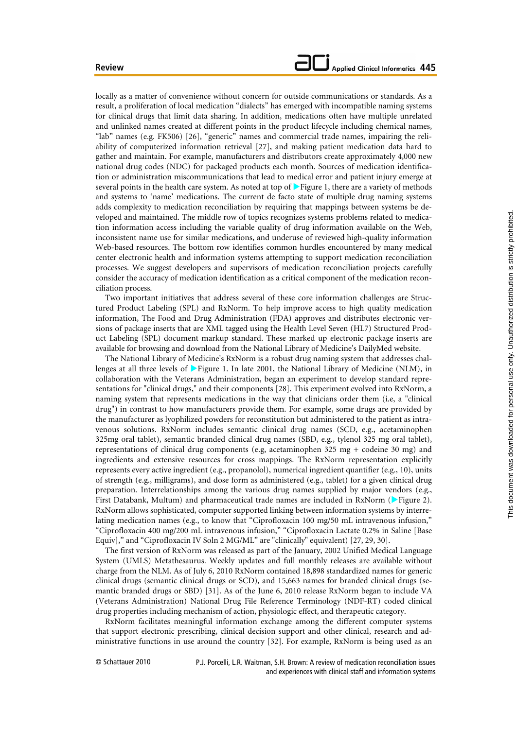locally as a matter of convenience without concern for outside communications or standards. As a result, a proliferation of local medication "dialects" has emerged with incompatible naming systems for clinical drugs that limit data sharing. In addition, medications often have multiple unrelated and unlinked names created at different points in the product lifecycle including chemical names, "lab" names (e.g. FK506) [26], "generic" names and commercial trade names, impairing the reliability of computerized information retrieval [27], and making patient medication data hard to gather and maintain. For example, manufacturers and distributors create approximately 4,000 new national drug codes (NDC) for packaged products each month. Sources of medication identification or administration miscommunications that lead to medical error and patient injury emerge at several points in the health care system. As noted at top of  $\blacktriangleright$  Figure 1, there are a variety of methods and systems to 'name' medications. The current de facto state of multiple drug naming systems adds complexity to medication reconciliation by requiring that mappings between systems be developed and maintained. The middle row of topics recognizes systems problems related to medication information access including the variable quality of drug information available on the Web, inconsistent name use for similar medications, and underuse of reviewed high-quality information Web-based resources. The bottom row identifies common hurdles encountered by many medical center electronic health and information systems attempting to support medication reconciliation processes. We suggest developers and supervisors of medication reconciliation projects carefully consider the accuracy of medication identification as a critical component of the medication reconciliation process.

Two important initiatives that address several of these core information challenges are Structured Product Labeling (SPL) and RxNorm. To help improve access to high quality medication information, The Food and Drug Administration (FDA) approves and distributes electronic versions of package inserts that are XML tagged using the Health Level Seven (HL7) Structured Product Labeling (SPL) document markup standard. These marked up electronic package inserts are available for browsing and download from the National Library of Medicine's DailyMed website.

The National Library of Medicine's RxNorm is a robust drug naming system that addresses challenges at all three levels of  $\blacktriangleright$  Figure 1. In late 2001, the National Library of Medicine (NLM), in collaboration with the Veterans Administration, began an experiment to develop standard representations for "clinical drugs," and their components [28]. This experiment evolved into RxNorm, a naming system that represents medications in the way that clinicians order them (i.e, a "clinical drug") in contrast to how manufacturers provide them. For example, some drugs are provided by the manufacturer as lyophilized powders for reconstitution but administered to the patient as intravenous solutions. RxNorm includes semantic clinical drug names (SCD, e.g., acetaminophen 325mg oral tablet), semantic branded clinical drug names (SBD, e.g., tylenol 325 mg oral tablet), representations of clinical drug components (e.g, acetaminophen 325 mg + codeine 30 mg) and ingredients and extensive resources for cross mappings. The RxNorm representation explicitly represents every active ingredient (e.g., propanolol), numerical ingredient quantifier (e.g., 10), units of strength (e.g., milligrams), and dose form as administered (e.g., tablet) for a given clinical drug preparation. Interrelationships among the various drug names supplied by major vendors (e.g., First Databank, Multum) and pharmaceutical trade names are included in RxNorm ( $\blacktriangleright$  Figure 2). RxNorm allows sophisticated, computer supported linking between information systems by interrelating medication names (e.g., to know that "Ciprofloxacin 100 mg/50 mL intravenous infusion," "Ciprofloxacin 400 mg/200 mL intravenous infusion," "Ciprofloxacin Lactate 0.2% in Saline [Base Equiv]," and "Ciprofloxacin IV Soln 2 MG/ML" are "clinically" equivalent) [27, 29, 30].

The first version of RxNorm was released as part of the January, 2002 Unified Medical Language System (UMLS) Metathesaurus. Weekly updates and full monthly releases are available without charge from the NLM. As of July 6, 2010 RxNorm contained 18,898 standardized names for generic clinical drugs (semantic clinical drugs or SCD), and 15,663 names for branded clinical drugs (semantic branded drugs or SBD) [31]. As of the June 6, 2010 release RxNorm began to include VA (Veterans Administration) National Drug File Reference Terminology (NDF-RT) coded clinical drug properties including mechanism of action, physiologic effect, and therapeutic category.

RxNorm facilitates meaningful information exchange among the different computer systems that support electronic prescribing, clinical decision support and other clinical, research and administrative functions in use around the country [32]. For example, RxNorm is being used as an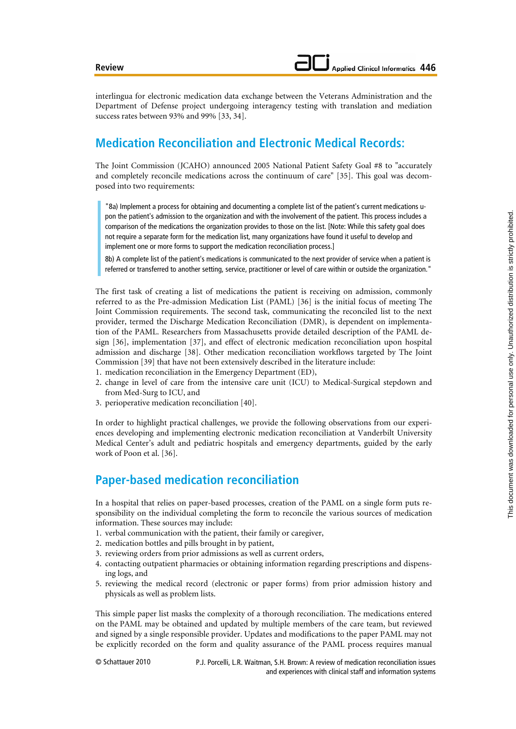interlingua for electronic medication data exchange between the Veterans Administration and the Department of Defense project undergoing interagency testing with translation and mediation success rates between 93% and 99% [33, 34].

## **Medication Reconciliation and Electronic Medical Records:**

The Joint Commission (JCAHO) announced 2005 National Patient Safety Goal #8 to "accurately and completely reconcile medications across the continuum of care" [35]. This goal was decomposed into two requirements:

"8a) Implement a process for obtaining and documenting a complete list of the patient's current medications upon the patient's admission to the organization and with the involvement of the patient. This process includes a comparison of the medications the organization provides to those on the list. [Note: While this safety goal does not require a separate form for the medication list, many organizations have found it useful to develop and implement one or more forms to support the medication reconciliation process.]

8b) A complete list of the patient's medications is communicated to the next provider of service when a patient is referred or transferred to another setting, service, practitioner or level of care within or outside the organization."

The first task of creating a list of medications the patient is receiving on admission, commonly referred to as the Pre-admission Medication List (PAML) [36] is the initial focus of meeting The Joint Commission requirements. The second task, communicating the reconciled list to the next provider, termed the Discharge Medication Reconciliation (DMR), is dependent on implementation of the PAML. Researchers from Massachusetts provide detailed description of the PAML design [36], implementation [37], and effect of electronic medication reconciliation upon hospital admission and discharge [38]. Other medication reconciliation workflows targeted by The Joint Commission [39] that have not been extensively described in the literature include:

- 1. medication reconciliation in the Emergency Department (ED),
- 2. change in level of care from the intensive care unit (ICU) to Medical-Surgical stepdown and from Med-Surg to ICU, and
- 3. perioperative medication reconciliation [40].

In order to highlight practical challenges, we provide the following observations from our experiences developing and implementing electronic medication reconciliation at Vanderbilt University Medical Center's adult and pediatric hospitals and emergency departments, guided by the early work of Poon et al. [36].

### **Paper-based medication reconciliation**

In a hospital that relies on paper-based processes, creation of the PAML on a single form puts responsibility on the individual completing the form to reconcile the various sources of medication information. These sources may include:

- 1. verbal communication with the patient, their family or caregiver,
- 2. medication bottles and pills brought in by patient,
- 3. reviewing orders from prior admissions as well as current orders,
- 4. contacting outpatient pharmacies or obtaining information regarding prescriptions and dispensing logs, and
- 5. reviewing the medical record (electronic or paper forms) from prior admission history and physicals as well as problem lists.

This simple paper list masks the complexity of a thorough reconciliation. The medications entered on the PAML may be obtained and updated by multiple members of the care team, but reviewed and signed by a single responsible provider. Updates and modifications to the paper PAML may not be explicitly recorded on the form and quality assurance of the PAML process requires manual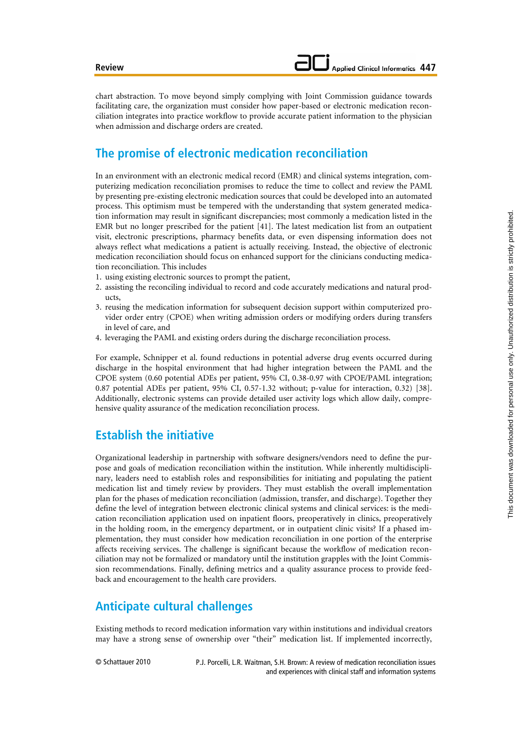chart abstraction. To move beyond simply complying with Joint Commission guidance towards facilitating care, the organization must consider how paper-based or electronic medication reconciliation integrates into practice workflow to provide accurate patient information to the physician when admission and discharge orders are created.

# **The promise of electronic medication reconciliation**

In an environment with an electronic medical record (EMR) and clinical systems integration, computerizing medication reconciliation promises to reduce the time to collect and review the PAML by presenting pre-existing electronic medication sources that could be developed into an automated process. This optimism must be tempered with the understanding that system generated medication information may result in significant discrepancies; most commonly a medication listed in the EMR but no longer prescribed for the patient [41]. The latest medication list from an outpatient visit, electronic prescriptions, pharmacy benefits data, or even dispensing information does not always reflect what medications a patient is actually receiving. Instead, the objective of electronic medication reconciliation should focus on enhanced support for the clinicians conducting medication reconciliation. This includes

- 1. using existing electronic sources to prompt the patient,
- 2. assisting the reconciling individual to record and code accurately medications and natural products,
- 3. reusing the medication information for subsequent decision support within computerized provider order entry (CPOE) when writing admission orders or modifying orders during transfers in level of care, and
- 4. leveraging the PAML and existing orders during the discharge reconciliation process.

For example, Schnipper et al. found reductions in potential adverse drug events occurred during discharge in the hospital environment that had higher integration between the PAML and the CPOE system (0.60 potential ADEs per patient, 95% CI, 0.38-0.97 with CPOE/PAML integration; 0.87 potential ADEs per patient, 95% CI, 0.57-1.32 without; p-value for interaction, 0.32) [38]. Additionally, electronic systems can provide detailed user activity logs which allow daily, comprehensive quality assurance of the medication reconciliation process.

#### **Establish the initiative**

Organizational leadership in partnership with software designers/vendors need to define the purpose and goals of medication reconciliation within the institution. While inherently multidisciplinary, leaders need to establish roles and responsibilities for initiating and populating the patient medication list and timely review by providers. They must establish the overall implementation plan for the phases of medication reconciliation (admission, transfer, and discharge). Together they define the level of integration between electronic clinical systems and clinical services: is the medication reconciliation application used on inpatient floors, preoperatively in clinics, preoperatively in the holding room, in the emergency department, or in outpatient clinic visits? If a phased implementation, they must consider how medication reconciliation in one portion of the enterprise affects receiving services. The challenge is significant because the workflow of medication reconciliation may not be formalized or mandatory until the institution grapples with the Joint Commission recommendations. Finally, defining metrics and a quality assurance process to provide feedback and encouragement to the health care providers.

# **Anticipate cultural challenges**

Existing methods to record medication information vary within institutions and individual creators may have a strong sense of ownership over "their" medication list. If implemented incorrectly,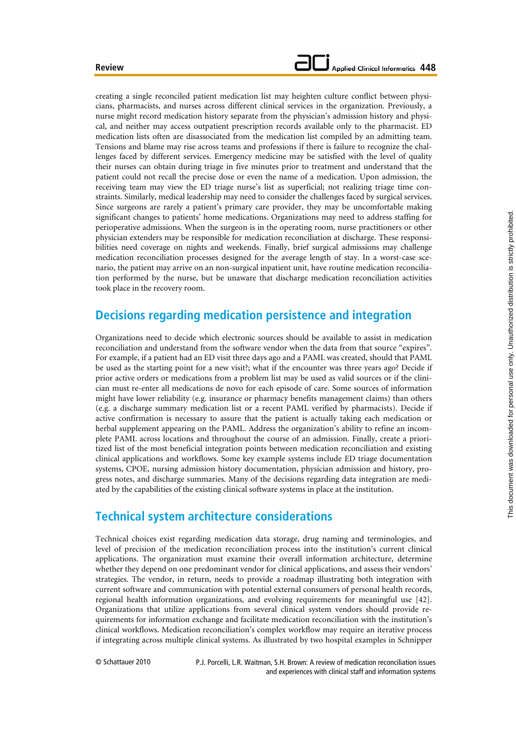creating a single reconciled patient medication list may heighten culture conflict between physicians, pharmacists, and nurses across different clinical services in the organization. Previously, a nurse might record medication history separate from the physician's admission history and physical, and neither may access outpatient prescription records available only to the pharmacist. ED medication lists often are disassociated from the medication list compiled by an admitting team. Tensions and blame may rise across teams and professions if there is failure to recognize the challenges faced by different services. Emergency medicine may be satisfied with the level of quality their nurses can obtain during triage in five minutes prior to treatment and understand that the patient could not recall the precise dose or even the name of a medication. Upon admission, the receiving team may view the ED triage nurse's list as superficial; not realizing triage time constraints. Similarly, medical leadership may need to consider the challenges faced by surgical services. Since surgeons are rarely a patient's primary care provider, they may be uncomfortable making significant changes to patients' home medications. Organizations may need to address staffing for perioperative admissions. When the surgeon is in the operating room, nurse practitioners or other physician extenders may be responsible for medication reconciliation at discharge. These responsibilities need coverage on nights and weekends. Finally, brief surgical admissions may challenge medication reconciliation processes designed for the average length of stay. In a worst-case scenario, the patient may arrive on an non-surgical inpatient unit, have routine medication reconciliation performed by the nurse, but be unaware that discharge medication reconciliation activities took place in the recovery room.

### **Decisions regarding medication persistence and integration**

Organizations need to decide which electronic sources should be available to assist in medication reconciliation and understand from the software vendor when the data from that source "expires". For example, if a patient had an ED visit three days ago and a PAML was created, should that PAML be used as the starting point for a new visit?; what if the encounter was three years ago? Decide if prior active orders or medications from a problem list may be used as valid sources or if the clinician must re-enter all medications de novo for each episode of care. Some sources of information might have lower reliability (e.g. insurance or pharmacy benefits management claims) than others (e.g. a discharge summary medication list or a recent PAML verified by pharmacists). Decide if active confirmation is necessary to assure that the patient is actually taking each medication or herbal supplement appearing on the PAML. Address the organization's ability to refine an incomplete PAML across locations and throughout the course of an admission. Finally, create a prioritized list of the most beneficial integration points between medication reconciliation and existing clinical applications and workflows. Some key example systems include ED triage documentation systems, CPOE, nursing admission history documentation, physician admission and history, progress notes, and discharge summaries. Many of the decisions regarding data integration are mediated by the capabilities of the existing clinical software systems in place at the institution.

### **Technical system architecture considerations**

Technical choices exist regarding medication data storage, drug naming and terminologies, and level of precision of the medication reconciliation process into the institution's current clinical applications. The organization must examine their overall information architecture, determine whether they depend on one predominant vendor for clinical applications, and assess their vendors' strategies. The vendor, in return, needs to provide a roadmap illustrating both integration with current software and communication with potential external consumers of personal health records, regional health information organizations, and evolving requirements for meaningful use [42]. Organizations that utilize applications from several clinical system vendors should provide requirements for information exchange and facilitate medication reconciliation with the institution's clinical workflows. Medication reconciliation's complex workflow may require an iterative process if integrating across multiple clinical systems. As illustrated by two hospital examples in Schnipper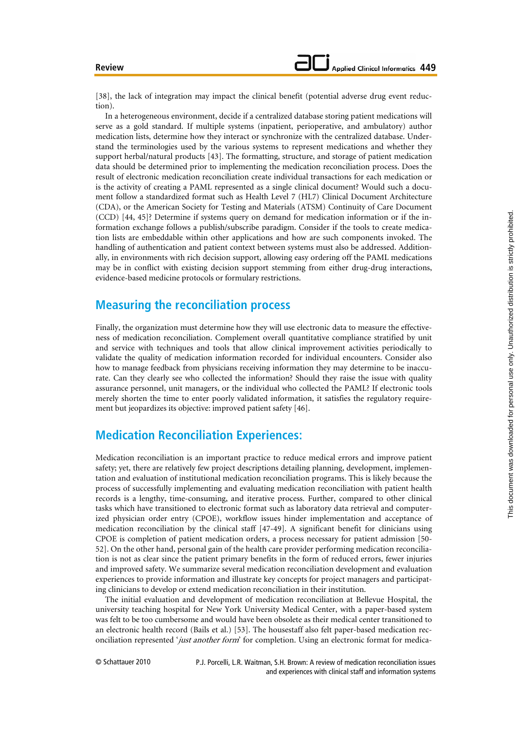[38], the lack of integration may impact the clinical benefit (potential adverse drug event reduction).

In a heterogeneous environment, decide if a centralized database storing patient medications will serve as a gold standard. If multiple systems (inpatient, perioperative, and ambulatory) author medication lists, determine how they interact or synchronize with the centralized database. Understand the terminologies used by the various systems to represent medications and whether they support herbal/natural products [43]. The formatting, structure, and storage of patient medication data should be determined prior to implementing the medication reconciliation process. Does the result of electronic medication reconciliation create individual transactions for each medication or is the activity of creating a PAML represented as a single clinical document? Would such a document follow a standardized format such as Health Level 7 (HL7) Clinical Document Architecture (CDA), or the American Society for Testing and Materials (ATSM) Continuity of Care Document (CCD) [44, 45]? Determine if systems query on demand for medication information or if the information exchange follows a publish/subscribe paradigm. Consider if the tools to create medication lists are embeddable within other applications and how are such components invoked. The handling of authentication and patient context between systems must also be addressed. Additionally, in environments with rich decision support, allowing easy ordering off the PAML medications may be in conflict with existing decision support stemming from either drug-drug interactions, evidence-based medicine protocols or formulary restrictions.

### **Measuring the reconciliation process**

Finally, the organization must determine how they will use electronic data to measure the effectiveness of medication reconciliation. Complement overall quantitative compliance stratified by unit and service with techniques and tools that allow clinical improvement activities periodically to validate the quality of medication information recorded for individual encounters. Consider also how to manage feedback from physicians receiving information they may determine to be inaccurate. Can they clearly see who collected the information? Should they raise the issue with quality assurance personnel, unit managers, or the individual who collected the PAML? If electronic tools merely shorten the time to enter poorly validated information, it satisfies the regulatory requirement but jeopardizes its objective: improved patient safety [46].

### **Medication Reconciliation Experiences:**

Medication reconciliation is an important practice to reduce medical errors and improve patient safety; yet, there are relatively few project descriptions detailing planning, development, implementation and evaluation of institutional medication reconciliation programs. This is likely because the process of successfully implementing and evaluating medication reconciliation with patient health records is a lengthy, time-consuming, and iterative process. Further, compared to other clinical tasks which have transitioned to electronic format such as laboratory data retrieval and computerized physician order entry (CPOE), workflow issues hinder implementation and acceptance of medication reconciliation by the clinical staff [47-49]. A significant benefit for clinicians using CPOE is completion of patient medication orders, a process necessary for patient admission [50- 52]. On the other hand, personal gain of the health care provider performing medication reconciliation is not as clear since the patient primary benefits in the form of reduced errors, fewer injuries and improved safety. We summarize several medication reconciliation development and evaluation experiences to provide information and illustrate key concepts for project managers and participating clinicians to develop or extend medication reconciliation in their institution.

The initial evaluation and development of medication reconciliation at Bellevue Hospital, the university teaching hospital for New York University Medical Center, with a paper-based system was felt to be too cumbersome and would have been obsolete as their medical center transitioned to an electronic health record (Bails et al.) [53]. The housestaff also felt paper-based medication reconciliation represented 'just another form' for completion. Using an electronic format for medica-

© Schattauer 2010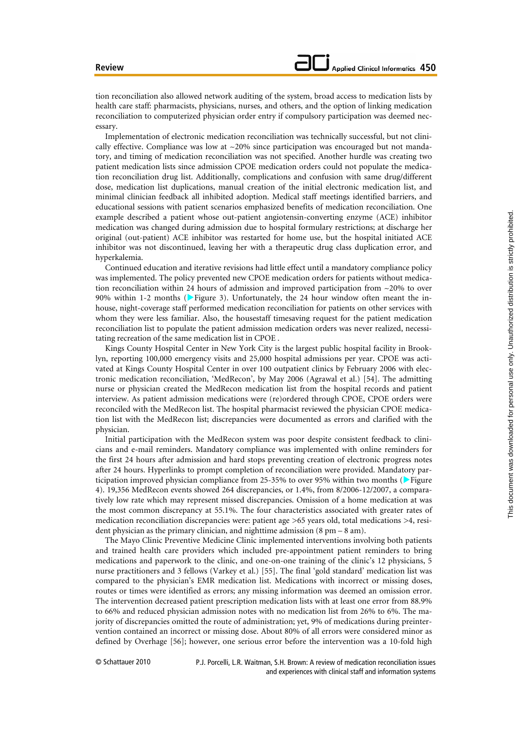tion reconciliation also allowed network auditing of the system, broad access to medication lists by health care staff: pharmacists, physicians, nurses, and others, and the option of linking medication reconciliation to computerized physician order entry if compulsory participation was deemed necessary.

Implementation of electronic medication reconciliation was technically successful, but not clinically effective. Compliance was low at  $\sim$  20% since participation was encouraged but not mandatory, and timing of medication reconciliation was not specified. Another hurdle was creating two patient medication lists since admission CPOE medication orders could not populate the medication reconciliation drug list. Additionally, complications and confusion with same drug/different dose, medication list duplications, manual creation of the initial electronic medication list, and minimal clinician feedback all inhibited adoption. Medical staff meetings identified barriers, and educational sessions with patient scenarios emphasized benefits of medication reconciliation. One example described a patient whose out-patient angiotensin-converting enzyme (ACE) inhibitor medication was changed during admission due to hospital formulary restrictions; at discharge her original (out-patient) ACE inhibitor was restarted for home use, but the hospital initiated ACE inhibitor was not discontinued, leaving her with a therapeutic drug class duplication error, and hyperkalemia.

Continued education and iterative revisions had little effect until a mandatory compliance policy was implemented. The policy prevented new CPOE medication orders for patients without medication reconciliation within 24 hours of admission and improved participation from  $\sim$ 20% to over 90% within 1-2 months ( $\blacktriangleright$  Figure 3). Unfortunately, the 24 hour window often meant the inhouse, night-coverage staff performed medication reconciliation for patients on other services with whom they were less familiar. Also, the housestaff timesaving request for the patient medication reconciliation list to populate the patient admission medication orders was never realized, necessitating recreation of the same medication list in CPOE .

Kings County Hospital Center in New York City is the largest public hospital facility in Brooklyn, reporting 100,000 emergency visits and 25,000 hospital admissions per year. CPOE was activated at Kings County Hospital Center in over 100 outpatient clinics by February 2006 with electronic medication reconciliation, 'MedRecon', by May 2006 (Agrawal et al.) [54]. The admitting nurse or physician created the MedRecon medication list from the hospital records and patient interview. As patient admission medications were (re)ordered through CPOE, CPOE orders were reconciled with the MedRecon list. The hospital pharmacist reviewed the physician CPOE medication list with the MedRecon list; discrepancies were documented as errors and clarified with the physician.

Initial participation with the MedRecon system was poor despite consistent feedback to clinicians and e-mail reminders. Mandatory compliance was implemented with online reminders for the first 24 hours after admission and hard stops preventing creation of electronic progress notes after 24 hours. Hyperlinks to prompt completion of reconciliation were provided. Mandatory participation improved physician compliance from 25-35% to over 95% within two months ( $\blacktriangleright$  Figure 4). 19,356 MedRecon events showed 264 discrepancies, or 1.4%, from 8/2006-12/2007, a comparatively low rate which may represent missed discrepancies. Omission of a home medication at was the most common discrepancy at 55.1%. The four characteristics associated with greater rates of medication reconciliation discrepancies were: patient age >65 years old, total medications >4, resident physician as the primary clinician, and nighttime admission  $(8 \text{ pm} - 8 \text{ am})$ .

The Mayo Clinic Preventive Medicine Clinic implemented interventions involving both patients and trained health care providers which included pre-appointment patient reminders to bring medications and paperwork to the clinic, and one-on-one training of the clinic's 12 physicians, 5 nurse practitioners and 3 fellows (Varkey et al.) [55]. The final 'gold standard' medication list was compared to the physician's EMR medication list. Medications with incorrect or missing doses, routes or times were identified as errors; any missing information was deemed an omission error. The intervention decreased patient prescription medication lists with at least one error from 88.9% to 66% and reduced physician admission notes with no medication list from 26% to 6%. The majority of discrepancies omitted the route of administration; yet, 9% of medications during preintervention contained an incorrect or missing dose. About 80% of all errors were considered minor as defined by Overhage [56]; however, one serious error before the intervention was a 10-fold high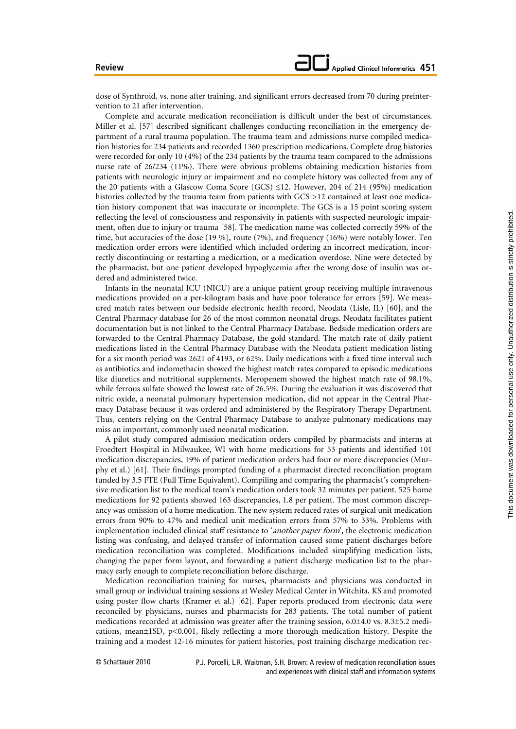dose of Synthroid, vs. none after training, and significant errors decreased from 70 during preintervention to 21 after intervention.

Complete and accurate medication reconciliation is difficult under the best of circumstances. Miller et al. [57] described significant challenges conducting reconciliation in the emergency department of a rural trauma population. The trauma team and admissions nurse compiled medication histories for 234 patients and recorded 1360 prescription medications. Complete drug histories were recorded for only 10 (4%) of the 234 patients by the trauma team compared to the admissions nurse rate of 26/234 (11%). There were obvious problems obtaining medication histories from patients with neurologic injury or impairment and no complete history was collected from any of the 20 patients with a Glascow Coma Score (GCS)  $\leq$ 12. However, 204 of 214 (95%) medication histories collected by the trauma team from patients with GCS >12 contained at least one medication history component that was inaccurate or incomplete. The GCS is a 15 point scoring system reflecting the level of consciousness and responsivity in patients with suspected neurologic impairment, often due to injury or trauma [58]. The medication name was collected correctly 59% of the time, but accuracies of the dose (19 %), route (7%), and frequency (16%) were notably lower. Ten medication order errors were identified which included ordering an incorrect medication, incorrectly discontinuing or restarting a medication, or a medication overdose. Nine were detected by the pharmacist, but one patient developed hypoglycemia after the wrong dose of insulin was ordered and administered twice.

Infants in the neonatal ICU (NICU) are a unique patient group receiving multiple intravenous medications provided on a per-kilogram basis and have poor tolerance for errors [59]. We measured match rates between our bedside electronic health record, Neodata (Lisle, IL) [60], and the Central Pharmacy database for 26 of the most common neonatal drugs. Neodata facilitates patient documentation but is not linked to the Central Pharmacy Database. Bedside medication orders are forwarded to the Central Pharmacy Database, the gold standard. The match rate of daily patient medications listed in the Central Pharmacy Database with the Neodata patient medication listing for a six month period was 2621 of 4193, or 62%. Daily medications with a fixed time interval such as antibiotics and indomethacin showed the highest match rates compared to episodic medications like diuretics and nutritional supplements. Meropenem showed the highest match rate of 98.1%, while ferrous sulfate showed the lowest rate of 26.5%. During the evaluation it was discovered that nitric oxide, a neonatal pulmonary hypertension medication, did not appear in the Central Pharmacy Database because it was ordered and administered by the Respiratory Therapy Department. Thus, centers relying on the Central Pharmacy Database to analyze pulmonary medications may miss an important, commonly used neonatal medication.

A pilot study compared admission medication orders compiled by pharmacists and interns at Froedtert Hospital in Milwaukee, WI with home medications for 53 patients and identified 101 medication discrepancies, 19% of patient medication orders had four or more discrepancies (Murphy et al.) [61]. Their findings prompted funding of a pharmacist directed reconciliation program funded by 3.5 FTE (Full Time Equivalent). Compiling and comparing the pharmacist's comprehensive medication list to the medical team's medication orders took 32 minutes per patient. 525 home medications for 92 patients showed 163 discrepancies, 1.8 per patient. The most common discrepancy was omission of a home medication. The new system reduced rates of surgical unit medication errors from 90% to 47% and medical unit medication errors from 57% to 33%. Problems with implementation included clinical staff resistance to 'another paper form', the electronic medication listing was confusing, and delayed transfer of information caused some patient discharges before medication reconciliation was completed. Modifications included simplifying medication lists, changing the paper form layout, and forwarding a patient discharge medication list to the pharmacy early enough to complete reconciliation before discharge.

Medication reconciliation training for nurses, pharmacists and physicians was conducted in small group or individual training sessions at Wesley Medical Center in Witchita, KS and promoted using poster flow charts (Kramer et al.) [62]. Paper reports produced from electronic data were reconciled by physicians, nurses and pharmacists for 283 patients. The total number of patient medications recorded at admission was greater after the training session, 6.0±4.0 vs. 8.3±5.2 medications, mean $\pm$ 1SD, p<0.001, likely reflecting a more thorough medication history. Despite the training and a modest 12-16 minutes for patient histories, post training discharge medication rec-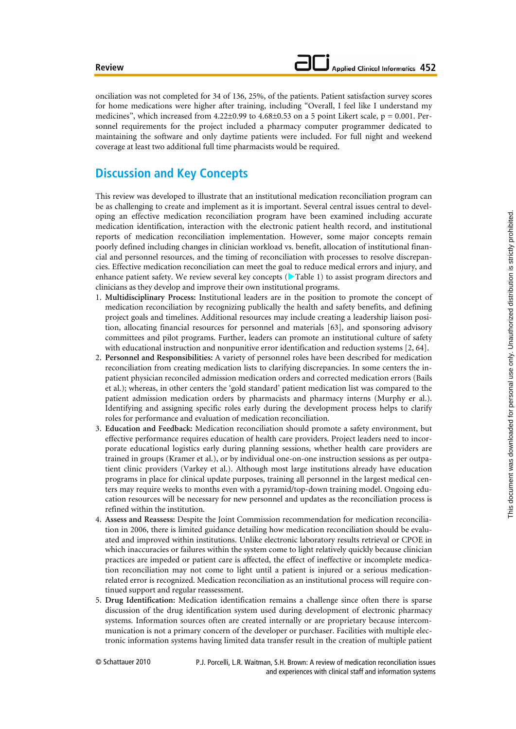onciliation was not completed for 34 of 136, 25%, of the patients. Patient satisfaction survey scores for home medications were higher after training, including "Overall, I feel like I understand my medicines", which increased from  $4.22\pm0.99$  to  $4.68\pm0.53$  on a 5 point Likert scale,  $p = 0.001$ . Personnel requirements for the project included a pharmacy computer programmer dedicated to maintaining the software and only daytime patients were included. For full night and weekend coverage at least two additional full time pharmacists would be required.

### **Discussion and Key Concepts**

This review was developed to illustrate that an institutional medication reconciliation program can be as challenging to create and implement as it is important. Several central issues central to developing an effective medication reconciliation program have been examined including accurate medication identification, interaction with the electronic patient health record, and institutional reports of medication reconciliation implementation. However, some major concepts remain poorly defined including changes in clinician workload vs. benefit, allocation of institutional financial and personnel resources, and the timing of reconciliation with processes to resolve discrepancies. Effective medication reconciliation can meet the goal to reduce medical errors and injury, and enhance patient safety. We review several key concepts ( $\blacktriangleright$  Table 1) to assist program directors and clinicians as they develop and improve their own institutional programs.

- 1. **Multidisciplinary Process:** Institutional leaders are in the position to promote the concept of medication reconciliation by recognizing publically the health and safety benefits, and defining project goals and timelines. Additional resources may include creating a leadership liaison position, allocating financial resources for personnel and materials [63], and sponsoring advisory committees and pilot programs. Further, leaders can promote an institutional culture of safety with educational instruction and nonpunitive error identification and reduction systems [2, 64].
- 2. **Personnel and Responsibilities:** A variety of personnel roles have been described for medication reconciliation from creating medication lists to clarifying discrepancies. In some centers the inpatient physician reconciled admission medication orders and corrected medication errors (Bails et al.); whereas, in other centers the 'gold standard' patient medication list was compared to the patient admission medication orders by pharmacists and pharmacy interns (Murphy er al.). Identifying and assigning specific roles early during the development process helps to clarify roles for performance and evaluation of medication reconciliation.
- 3. **Education and Feedback:** Medication reconciliation should promote a safety environment, but effective performance requires education of health care providers. Project leaders need to incorporate educational logistics early during planning sessions, whether health care providers are trained in groups (Kramer et al.), or by individual one-on-one instruction sessions as per outpatient clinic providers (Varkey et al.). Although most large institutions already have education programs in place for clinical update purposes, training all personnel in the largest medical centers may require weeks to months even with a pyramid/top-down training model. Ongoing education resources will be necessary for new personnel and updates as the reconciliation process is refined within the institution.
- 4. **Assess and Reassess:** Despite the Joint Commission recommendation for medication reconciliation in 2006, there is limited guidance detailing how medication reconciliation should be evaluated and improved within institutions. Unlike electronic laboratory results retrieval or CPOE in which inaccuracies or failures within the system come to light relatively quickly because clinician practices are impeded or patient care is affected, the effect of ineffective or incomplete medication reconciliation may not come to light until a patient is injured or a serious medicationrelated error is recognized. Medication reconciliation as an institutional process will require continued support and regular reassessment.
- 5. **Drug Identification:** Medication identification remains a challenge since often there is sparse discussion of the drug identification system used during development of electronic pharmacy systems. Information sources often are created internally or are proprietary because intercommunication is not a primary concern of the developer or purchaser. Facilities with multiple electronic information systems having limited data transfer result in the creation of multiple patient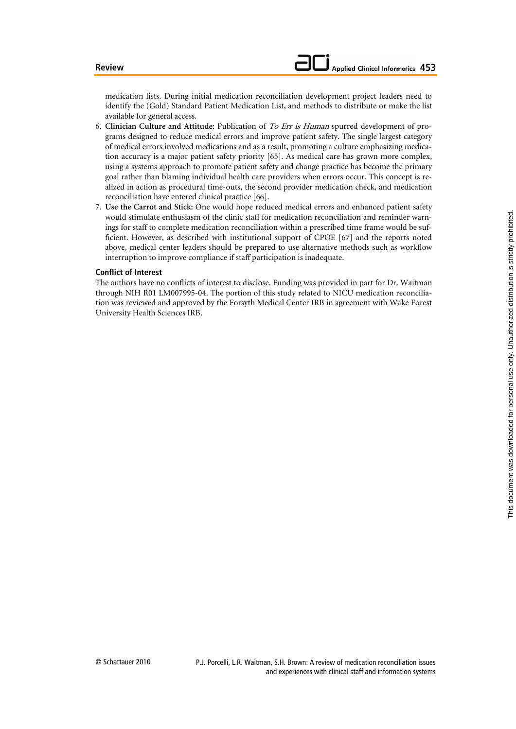medication lists. During initial medication reconciliation development project leaders need to identify the (Gold) Standard Patient Medication List, and methods to distribute or make the list available for general access.

- 6. **Clinician Culture and Attitude:** Publication of To Err is Human spurred development of programs designed to reduce medical errors and improve patient safety. The single largest category of medical errors involved medications and as a result, promoting a culture emphasizing medication accuracy is a major patient safety priority [65]. As medical care has grown more complex, using a systems approach to promote patient safety and change practice has become the primary goal rather than blaming individual health care providers when errors occur. This concept is realized in action as procedural time-outs, the second provider medication check, and medication reconciliation have entered clinical practice [66].
- 7. **Use the Carrot and Stick:** One would hope reduced medical errors and enhanced patient safety would stimulate enthusiasm of the clinic staff for medication reconciliation and reminder warnings for staff to complete medication reconciliation within a prescribed time frame would be sufficient. However, as described with institutional support of CPOE [67] and the reports noted above, medical center leaders should be prepared to use alternative methods such as workflow interruption to improve compliance if staff participation is inadequate.

#### **Conflict of Interest**

The authors have no conflicts of interest to disclose. Funding was provided in part for Dr. Waitman through NIH R01 LM007995-04. The portion of this study related to NICU medication reconciliation was reviewed and approved by the Forsyth Medical Center IRB in agreement with Wake Forest University Health Sciences IRB.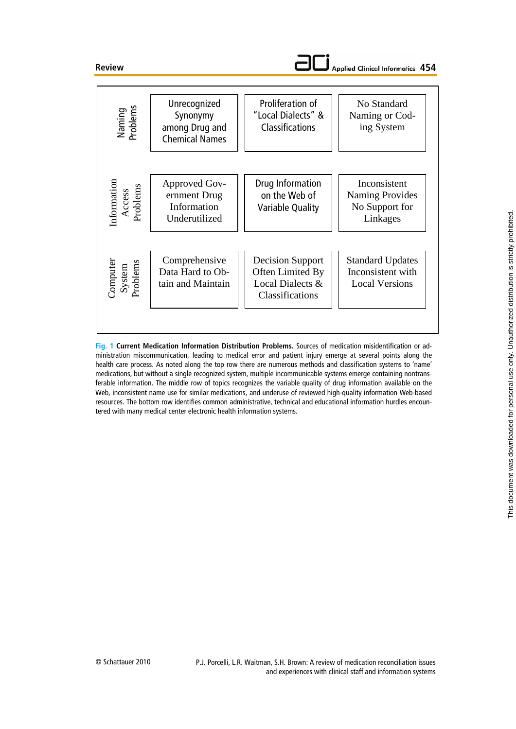

**Fig. 1 Current Medication Information Distribution Problems.** Sources of medication misidentification or administration miscommunication, leading to medical error and patient injury emerge at several points along the health care process. As noted along the top row there are numerous methods and classification systems to 'name' medications, but without a single recognized system, multiple incommunicable systems emerge containing nontransferable information. The middle row of topics recognizes the variable quality of drug information available on the Web, inconsistent name use for similar medications, and underuse of reviewed high-quality information Web-based resources. The bottom row identifies common administrative, technical and educational information hurdles encountered with many medical center electronic health information systems.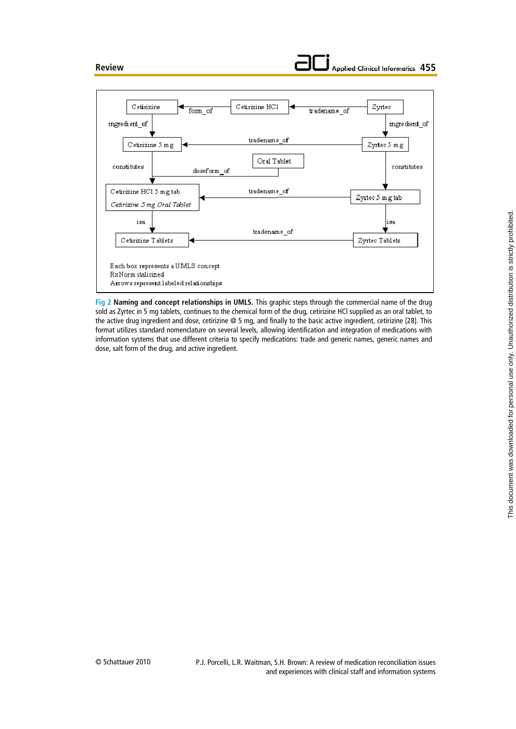#### **Review**





**Fig 2 Naming and concept relationships in UMLS.** This graphic steps through the commercial name of the drug sold as Zyrtec in 5 mg tablets, continues to the chemical form of the drug, cetirizine HCl supplied as an oral tablet, to the active drug ingredient and dose, cetirizine @ 5 mg, and finally to the basic active ingredient, cetirizine [28]. This format utilizes standard nomenclature on several levels, allowing identification and integration of medications with information systems that use different criteria to specify medications: trade and generic names, generic names and dose, salt form of the drug, and active ingredient.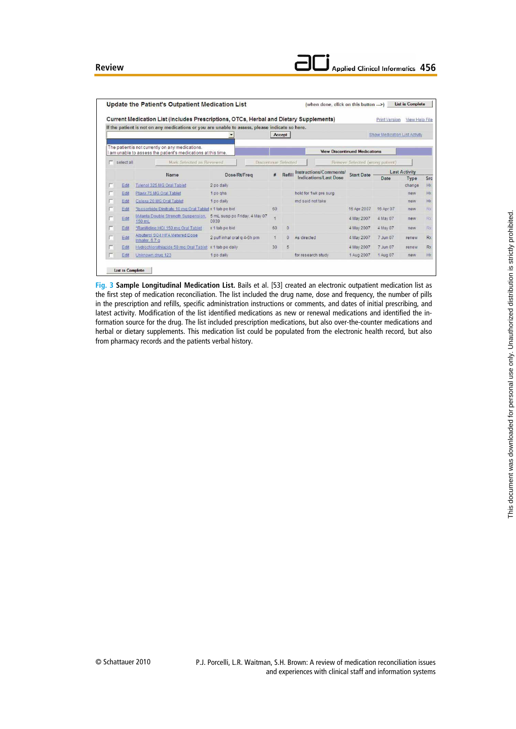#### **Review**



|            | If the patient is not on any medications or you are unable to assess, please indicate so here.                    |                                       |                      |          |                        |                                      |                                 |                      |     |
|------------|-------------------------------------------------------------------------------------------------------------------|---------------------------------------|----------------------|----------|------------------------|--------------------------------------|---------------------------------|----------------------|-----|
|            |                                                                                                                   |                                       |                      | Accept   |                        |                                      | Show Medication List Activity   |                      |     |
|            | The patient is not currently on any medications.<br>I am unable to assess the patient's medications at this time. |                                       |                      |          |                        | <b>View Discontinued Medications</b> |                                 |                      |     |
| select all | Mark Selected as Reviewed                                                                                         |                                       | Discontinue Selected |          |                        |                                      | Remove Selected (wrong patient) |                      |     |
|            | Name                                                                                                              |                                       | #                    | Refill   | Instructions/Comments/ | <b>Start Date</b>                    |                                 | <b>Last Activity</b> |     |
|            |                                                                                                                   | Dose/Rt/Freg                          |                      |          | Indications/Last Dose  |                                      | Date                            | <b>Type</b>          | Src |
| Edit       | Tylenol 325 MG Oral Tablet                                                                                        | 2 po daily                            |                      |          |                        |                                      |                                 | change               | Hx  |
| Edit       | Plavix 75 MG Oral Tablet                                                                                          | 1 po ghs                              |                      |          | hold for 1wk pre surg  |                                      |                                 | new                  | Hx  |
| Edit       | Celexa 20 MG Oral Tablet                                                                                          | 1 po daily                            |                      |          | md said not take       |                                      |                                 | new                  | Hx  |
| Edit       | *Isosorbide Dinitrate 10 mg Oral Tablet x 1 tab po bid                                                            |                                       | 60                   |          |                        | 16 Apr 2007                          | 16 Apr 07                       | new                  | Rx  |
| Edit       | Mylanta Double Strength Suspension.<br>150 mL                                                                     | 5 mL susp po Friday, 4 May 07<br>0939 |                      |          |                        | 4 May 2007                           | 4 May 07                        | new                  | Rx  |
| Edit       | *Ranitidine HCI 150 mg Oral Tablet                                                                                | x 1 tab po bid                        | 60                   | $\theta$ |                        | 4 May 2007                           | 4 May 07                        | new                  | Rx  |
| Edit       | Albuterol SO4 HFA Metered Dose<br>Inhaler, 6.7 g                                                                  | 2 puff inhal oral g 4-6h pm           | $\mathbf{1}$         | O.       | As directed            | 4 May 2007                           | 7 Jun 07                        | renew                | Rx  |
| Edit       | Hydrochlorothiazide 50 mg Oral Tablet                                                                             | x 1 tab po daily                      | 30 <sup>°</sup>      | 5        |                        | 4 May 2007                           | 7 Jun 07                        | renew                | Rx  |
| Edit       | Unknown drug 123                                                                                                  | 1 po daily                            |                      |          | for research study     | 1 Aug 2007                           | 1 Aug 07                        | new                  | Hx  |

**Fig. 3 Sample Longitudinal Medication List.** Bails et al. [53] created an electronic outpatient medication list as the first step of medication reconciliation. The list included the drug name, dose and frequency, the number of pills in the prescription and refills, specific administration instructions or comments, and dates of initial prescribing, and latest activity. Modification of the list identified medications as new or renewal medications and identified the information source for the drug. The list included prescription medications, but also over-the-counter medications and herbal or dietary supplements. This medication list could be populated from the electronic health record, but also from pharmacy records and the patients verbal history.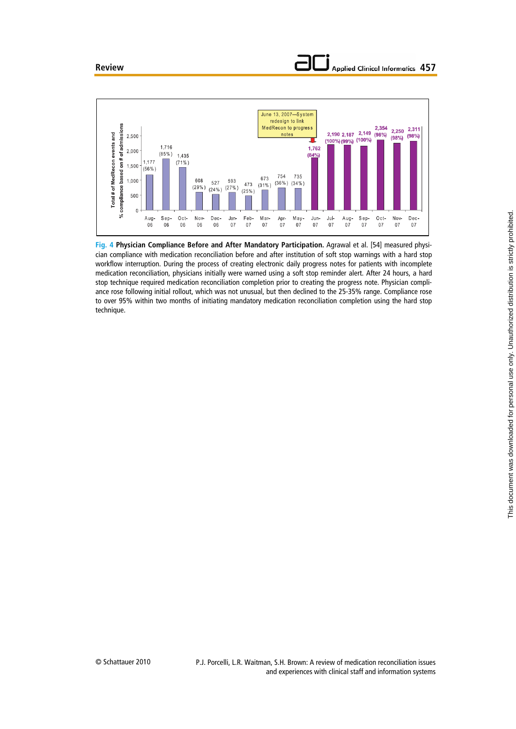

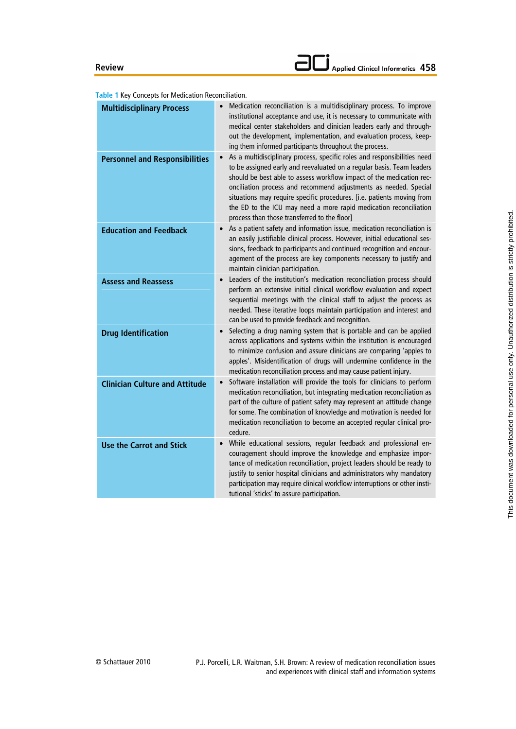#### **Review**

#### **Table 1** Key Concepts for Medication Reconciliation.

| <b>Multidisciplinary Process</b>      | Medication reconciliation is a multidisciplinary process. To improve<br>institutional acceptance and use, it is necessary to communicate with<br>medical center stakeholders and clinician leaders early and through-<br>out the development, implementation, and evaluation process, keep-<br>ing them informed participants throughout the process.                                                                                                                                                     |
|---------------------------------------|-----------------------------------------------------------------------------------------------------------------------------------------------------------------------------------------------------------------------------------------------------------------------------------------------------------------------------------------------------------------------------------------------------------------------------------------------------------------------------------------------------------|
| <b>Personnel and Responsibilities</b> | As a multidisciplinary process, specific roles and responsibilities need<br>$\bullet$<br>to be assigned early and reevaluated on a regular basis. Team leaders<br>should be best able to assess workflow impact of the medication rec-<br>onciliation process and recommend adjustments as needed. Special<br>situations may require specific procedures. [i.e. patients moving from<br>the ED to the ICU may need a more rapid medication reconciliation<br>process than those transferred to the floor] |
| <b>Education and Feedback</b>         | As a patient safety and information issue, medication reconciliation is<br>$\bullet$<br>an easily justifiable clinical process. However, initial educational ses-<br>sions, feedback to participants and continued recognition and encour-<br>agement of the process are key components necessary to justify and<br>maintain clinician participation.                                                                                                                                                     |
| <b>Assess and Reassess</b>            | Leaders of the institution's medication reconciliation process should<br>$\bullet$<br>perform an extensive initial clinical workflow evaluation and expect<br>sequential meetings with the clinical staff to adjust the process as<br>needed. These iterative loops maintain participation and interest and<br>can be used to provide feedback and recognition.                                                                                                                                           |
| <b>Drug Identification</b>            | Selecting a drug naming system that is portable and can be applied<br>$\bullet$<br>across applications and systems within the institution is encouraged<br>to minimize confusion and assure clinicians are comparing 'apples to<br>apples'. Misidentification of drugs will undermine confidence in the<br>medication reconciliation process and may cause patient injury.                                                                                                                                |
| <b>Clinician Culture and Attitude</b> | Software installation will provide the tools for clinicians to perform<br>$\bullet$<br>medication reconciliation, but integrating medication reconciliation as<br>part of the culture of patient safety may represent an attitude change<br>for some. The combination of knowledge and motivation is needed for<br>medication reconciliation to become an accepted regular clinical pro-<br>cedure.                                                                                                       |
| <b>Use the Carrot and Stick</b>       | While educational sessions, regular feedback and professional en-<br>$\bullet$<br>couragement should improve the knowledge and emphasize impor-<br>tance of medication reconciliation, project leaders should be ready to<br>justify to senior hospital clinicians and administrators why mandatory<br>participation may require clinical workflow interruptions or other insti-<br>tutional 'sticks' to assure participation.                                                                            |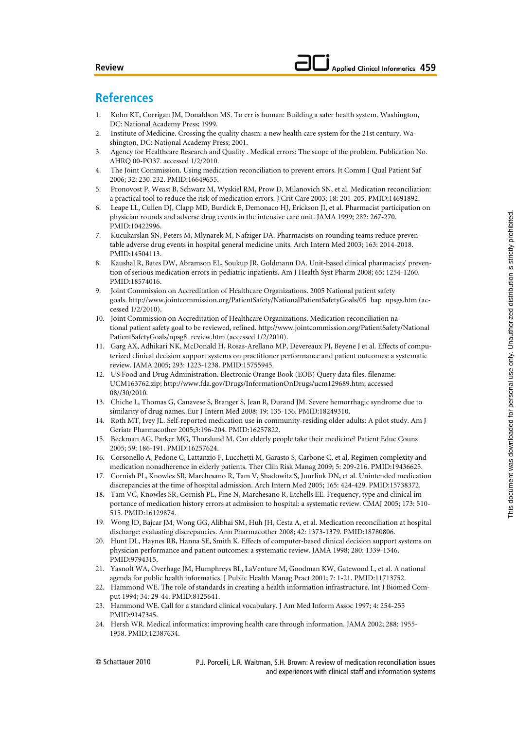# **References**

- 1. Kohn KT, Corrigan JM, Donaldson MS. To err is human: Building a safer health system. Washington, DC: National Academy Press; 1999.
- 2. Institute of Medicine. Crossing the quality chasm: a new health care system for the 21st century. Washington, DC: National Academy Press; 2001.
- 3. Agency for Healthcare Research and Quality . Medical errors: The scope of the problem. Publication No. AHRQ 00-PO37. accessed 1/2/2010.
- 4. The Joint Commission. Using medication reconciliation to prevent errors. Jt Comm J Qual Patient Saf 2006; 32: 230-232. PMID:16649655.
- 5. Pronovost P, Weast B, Schwarz M, Wyskiel RM, Prow D, Milanovich SN, et al. Medication reconciliation: a practical tool to reduce the risk of medication errors. J Crit Care 2003; 18: 201-205. PMID:14691892.
- 6. Leape LL, Cullen DJ, Clapp MD, Burdick E, Demonaco HJ, Erickson JI, et al. Pharmacist participation on physician rounds and adverse drug events in the intensive care unit. JAMA 1999; 282: 267-270. PMID:10422996.
- 7. Kucukarslan SN, Peters M, Mlynarek M, Nafziger DA. Pharmacists on rounding teams reduce preventable adverse drug events in hospital general medicine units. Arch Intern Med 2003; 163: 2014-2018. PMID:14504113.
- 8. Kaushal R, Bates DW, Abramson EL, Soukup JR, Goldmann DA. Unit-based clinical pharmacists' prevention of serious medication errors in pediatric inpatients. Am J Health Syst Pharm 2008; 65: 1254-1260. PMID:18574016.
- 9. Joint Commission on Accreditation of Healthcare Organizations. 2005 National patient safety goals. http://www.jointcommission.org/PatientSafety/NationalPatientSafetyGoals/05\_hap\_npsgs.htm (accessed 1/2/2010).
- 10. Joint Commission on Accreditation of Healthcare Organizations. Medication reconciliation national patient safety goal to be reviewed, refined. http://www.jointcommission.org/PatientSafety/National PatientSafetyGoals/npsg8\_review.htm (accessed 1/2/2010).
- 11. Garg AX, Adhikari NK, McDonald H, Rosas-Arellano MP, Devereaux PJ, Beyene J et al. Effects of computerized clinical decision support systems on practitioner performance and patient outcomes: a systematic review. JAMA 2005; 293: 1223-1238. PMID:15755945.
- 12. US Food and Drug Administration. Electronic Orange Book (EOB) Query data files. filename: UCM163762.zip; http://www.fda.gov/Drugs/InformationOnDrugs/ucm129689.htm; accessed 08//30/2010.
- 13. Chiche L, Thomas G, Canavese S, Branger S, Jean R, Durand JM. Severe hemorrhagic syndrome due to similarity of drug names. Eur J Intern Med 2008; 19: 135-136. PMID:18249310.
- 14. Roth MT, Ivey JL. Self-reported medication use in community-residing older adults: A pilot study. Am J Geriatr Pharmacother 2005;3:196-204. PMID:16257822.
- 15. Beckman AG, Parker MG, Thorslund M. Can elderly people take their medicine? Patient Educ Couns 2005; 59: 186-191. PMID:16257624.
- 16. Corsonello A, Pedone C, Lattanzio F, Lucchetti M, Garasto S, Carbone C, et al. Regimen complexity and medication nonadherence in elderly patients. Ther Clin Risk Manag 2009; 5: 209-216. PMID:19436625.
- 17. Cornish PL, Knowles SR, Marchesano R, Tam V, Shadowitz S, Juurlink DN, et al. Unintended medication discrepancies at the time of hospital admission. Arch Intern Med 2005; 165: 424-429. PMID:15738372.
- 18. Tam VC, Knowles SR, Cornish PL, Fine N, Marchesano R, Etchells EE. Frequency, type and clinical importance of medication history errors at admission to hospital: a systematic review. CMAJ 2005; 173: 510- 515. PMID:16129874.
- 19. Wong JD, Bajcar JM, Wong GG, Alibhai SM, Huh JH, Cesta A, et al. Medication reconciliation at hospital discharge: evaluating discrepancies. Ann Pharmacother 2008; 42: 1373-1379. PMID:18780806.
- 20. Hunt DL, Haynes RB, Hanna SE, Smith K. Effects of computer-based clinical decision support systems on physician performance and patient outcomes: a systematic review. JAMA 1998; 280: 1339-1346. PMID:9794315.
- 21. Yasnoff WA, Overhage JM, Humphreys BL, LaVenture M, Goodman KW, Gatewood L, et al. A national agenda for public health informatics. J Public Health Manag Pract 2001; 7: 1-21. PMID:11713752.
- 22. Hammond WE. The role of standards in creating a health information infrastructure. Int J Biomed Comput 1994; 34: 29-44. PMID:8125641.
- 23. Hammond WE. Call for a standard clinical vocabulary. J Am Med Inform Assoc 1997; 4: 254-255 PMID:9147345.
- 24. Hersh WR. Medical informatics: improving health care through information. JAMA 2002; 288: 1955- 1958. PMID:12387634.

© Schattauer 2010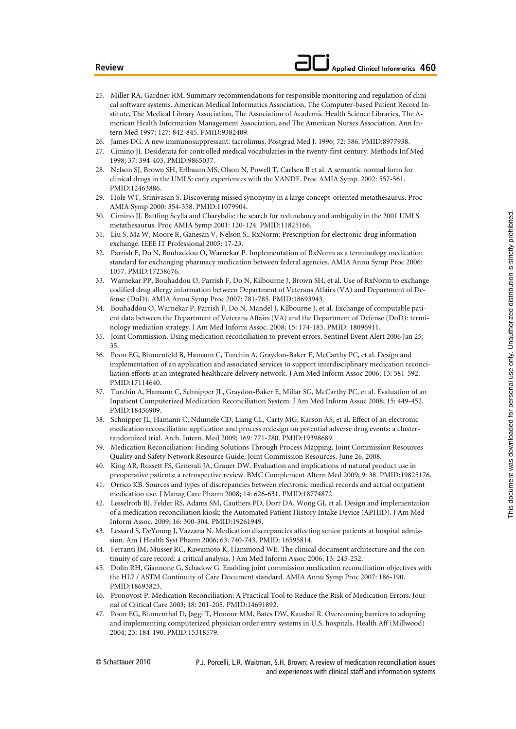- 25. Miller RA, Gardner RM. Summary recommendations for responsible monitoring and regulation of clinical software systems. American Medical Informatics Association, The Computer-based Patient Record Institute, The Medical Library Association, The Association of Academic Health Science Libraries, The American Health Information Management Association, and The American Nurses Association. Ann Intern Med 1997; 127: 842-845. PMID:9382409.
- 26. James DG. A new immunosuppressant: tacrolimus. Postgrad Med J. 1996; 72: 586. PMID:8977938.
- 27. Cimino JJ. Desiderata for controlled medical vocabularies in the twenty-first century. Methods Inf Med 1998; 37: 394-403. PMID:9865037.
- 28. Nelson SJ, Brown SH, Erlbaum MS, Olson N, Powell T, Carlsen B et al. A semantic normal form for clinical drugs in the UMLS: early experiences with the VANDF. Proc AMIA Symp. 2002: 557-561. PMID:12463886.
- 29. Hole WT, Srinivasan S. Discovering missed synonymy in a large concept-oriented metathesaurus. Proc AMIA Symp 2000: 354-358. PMID:11079904.
- 30. Cimino JJ. Battling Scylla and Charybdis: the search for redundancy and ambiguity in the 2001 UMLS metathesaurus. Proc AMIA Symp 2001: 120-124. PMID:11825166.
- 31. Liu S, Ma W, Moore R, Ganesan V, Nelson S.. RxNorm: Prescription for electronic drug information exchange. IEEE IT Professional 2005: 17-23.
- 32. Parrish F, Do N, Bouhaddou O, Warnekar P. Implementation of RxNorm as a terminology medication standard for exchanging pharmacy medication between federal agencies. AMIA Annu Symp Proc 2006: 1057. PMID:17238676.
- 33. Warnekar PP, Bouhaddou O, Parrish F, Do N, Kilbourne J, Brown SH, et al. Use of RxNorm to exchange codified drug allergy information between Department of Veterans Affairs (VA) and Department of Defense (DoD). AMIA Annu Symp Proc 2007: 781-785. PMID:18693943.
- 34. Bouhaddou O, Warnekar P, Parrish F, Do N, Mandel J, Kilbourne J, et al. Exchange of computable patient data between the Department of Veterans Affairs (VA) and the Department of Defense (DoD): terminology mediation strategy. J Am Med Inform Assoc. 2008; 15: 174-183. PMID: 18096911.
- 35. Joint Commission. Using medication reconciliation to prevent errors. Sentinel Event Alert 2006 Jan 25; 35.
- 36. Poon EG, Blumenfeld B, Hamann C, Turchin A, Graydon-Baker E, McCarthy PC, et al. Design and implementation of an application and associated services to support interdisciplinary medication reconciliation efforts at an integrated healthcare delivery network. J Am Med Inform Assoc 2006; 13: 581-592. PMID:17114640.
- 37. Turchin A, Hamann C, Schnipper JL, Graydon-Baker E, Millar SG, McCarthy PC, et al. Evaluation of an Inpatient Computerized Medication Reconciliation System. J Am Med Inform Assoc 2008; 15: 449-452. PMID:18436909.
- 38. Schnipper JL, Hamann C, Ndumele CD, Liang CL, Carty MG, Karson AS, et al. Effect of an electronic medication reconciliation application and process redesign on potential adverse drug events: a clusterrandomized trial. Arch. Intern. Med 2009; 169: 771-780. PMID:19398689.
- 39. Medication Reconciliation: Finding Solutions Through Process Mapping. Joint Commission Resources Quality and Safety Network Resource Guide, Joint Commission Resources, June 26, 2008.
- 40. King AR, Russett FS, Generali JA, Grauer DW. Evaluation and implications of natural product use in preoperative patients: a retrospective review. BMC Complement Altern Med 2009; 9: 38. PMID:19825176.
- 41. Orrico KB. Sources and types of discrepancies between electronic medical records and actual outpatient medication use. J Manag Care Pharm 2008; 14: 626-631. PMID:18774872.
- 42. Lesselroth BJ, Felder RS, Adams SM, Cauthers PD, Dorr DA, Wong GJ, et al. Design and implementation of a medication reconciliation kiosk: the Automated Patient History Intake Device (APHID). J Am Med Inform Assoc. 2009; 16: 300-304. PMID:19261949.
- 43. Lessard S, DeYoung J, Vazzana N. Medication discrepancies affecting senior patients at hospital admission. Am J Health Syst Pharm 2006; 63: 740-743. PMID: 16595814.
- 44. Ferranti JM, Musser RC, Kawamoto K, Hammond WE. The clinical document architecture and the continuity of care record: a critical analysis. J Am Med Inform Assoc 2006; 13: 245-252.
- 45. Dolin RH, Giannone G, Schadow G. Enabling joint commission medication reconciliation objectives with the HL7 / ASTM Continuity of Care Document standard. AMIA Annu Symp Proc 2007: 186-190. PMID:18693823.
- 46. Pronovost P. Medication Reconciliation: A Practical Tool to Reduce the Risk of Medication Errors. Journal of Critical Care 2003; 18: 201-205. PMID:14691892.
- 47. Poon EG, Blumenthal D, Jaggi T, Honour MM, Bates DW, Kaushal R. Overcoming barriers to adopting and implementing computerized physician order entry systems in U.S. hospitals. Health Aff (Millwood) 2004; 23: 184-190. PMID:15318579.